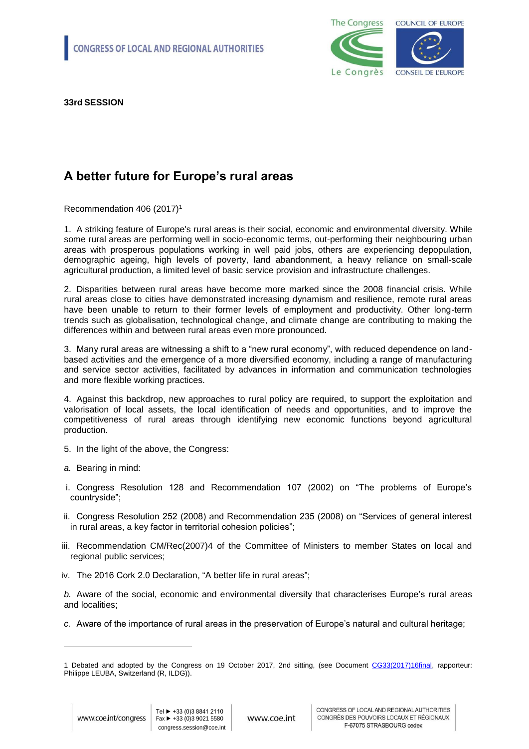

**33rd SESSION**

## **A better future for Europe's rural areas**

Recommendation 406 (2017)<sup>1</sup>

1. A striking feature of Europe's rural areas is their social, economic and environmental diversity. While some rural areas are performing well in socio-economic terms, out-performing their neighbouring urban areas with prosperous populations working in well paid jobs, others are experiencing depopulation, demographic ageing, high levels of poverty, land abandonment, a heavy reliance on small-scale agricultural production, a limited level of basic service provision and infrastructure challenges.

2. Disparities between rural areas have become more marked since the 2008 financial crisis. While rural areas close to cities have demonstrated increasing dynamism and resilience, remote rural areas have been unable to return to their former levels of employment and productivity. Other long-term trends such as globalisation, technological change, and climate change are contributing to making the differences within and between rural areas even more pronounced.

3. Many rural areas are witnessing a shift to a "new rural economy", with reduced dependence on landbased activities and the emergence of a more diversified economy, including a range of manufacturing and service sector activities, facilitated by advances in information and communication technologies and more flexible working practices.

4. Against this backdrop, new approaches to rural policy are required, to support the exploitation and valorisation of local assets, the local identification of needs and opportunities, and to improve the competitiveness of rural areas through identifying new economic functions beyond agricultural production.

- 5. In the light of the above, the Congress:
- *a.* Bearing in mind:
- i. Congress Resolution 128 and Recommendation 107 (2002) on "The problems of Europe's countryside";
- ii. Congress Resolution 252 (2008) and Recommendation 235 (2008) on "Services of general interest in rural areas, a key factor in territorial cohesion policies";
- iii. Recommendation CM/Rec(2007)4 of the Committee of Ministers to member States on local and regional public services;
- iv. The 2016 Cork 2.0 Declaration, "A better life in rural areas";

*b.* Aware of the social, economic and environmental diversity that characterises Europe's rural areas and localities;

*c.* Aware of the importance of rural areas in the preservation of Europe's natural and cultural heritage;

-

<sup>1</sup> Debated and adopted by the Congress on 19 October 2017, 2nd sitting, (see Document [CG33\(2017\)16final,](http://rm.coe.int/a-better-future-for-europe-s-rural-areas-governance-committee-rapporte/168074b728) rapporteur: Philippe LEUBA, Switzerland (R, ILDG)).